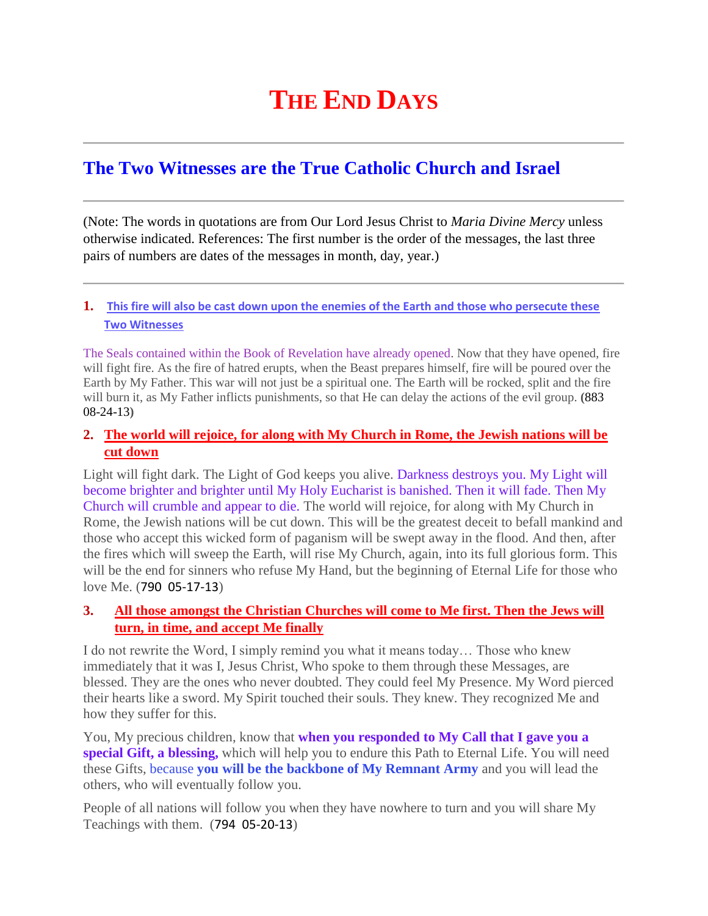# **THE END DAYS**

## **The Two Witnesses are the True Catholic Church and Israel**

(Note: The words in quotations are from Our Lord Jesus Christ to *Maria Divine Mercy* unless otherwise indicated. References: The first number is the order of the messages, the last three pairs of numbers are dates of the messages in month, day, year.)

## **1. [This fire will also be cast down upon the enemies of the Earth and those who persecute these](http://www.thewarningsecondcoming.com/this-fire-will-also-be-cast-down-upon-the-enemies-of-the-earth-and-those-who-persecute-these-two-witnesses/)  [Two Witnesses](http://www.thewarningsecondcoming.com/this-fire-will-also-be-cast-down-upon-the-enemies-of-the-earth-and-those-who-persecute-these-two-witnesses/)**

The Seals contained within the Book of Revelation have already opened. Now that they have opened, fire will fight fire. As the fire of hatred erupts, when the Beast prepares himself, fire will be poured over the Earth by My Father. This war will not just be a spiritual one. The Earth will be rocked, split and the fire will burn it, as My Father inflicts punishments, so that He can delay the actions of the evil group. **(**883 08-24-13**)**

## **2. [The world will rejoice, for along with My Church in Rome, the Jewish nations will be](http://www.thewarningsecondcoming.com/the-world-will-rejoice-for-along-with-my-church-in-rome-the-jewish-nations-will-be-cut-down/)  [cut down](http://www.thewarningsecondcoming.com/the-world-will-rejoice-for-along-with-my-church-in-rome-the-jewish-nations-will-be-cut-down/)**

Light will fight dark. The Light of God keeps you alive. Darkness destroys you. My Light will become brighter and brighter until My Holy Eucharist is banished. Then it will fade. Then My Church will crumble and appear to die. The world will rejoice, for along with My Church in Rome, the Jewish nations will be cut down. This will be the greatest deceit to befall mankind and those who accept this wicked form of paganism will be swept away in the flood. And then, after the fires which will sweep the Earth, will rise My Church, again, into its full glorious form. This will be the end for sinners who refuse My Hand, but the beginning of Eternal Life for those who love Me. (790 05-17-13)

## **3. [All those amongst the Christian Churches will come to Me first. Then the Jews will](http://www.thewarningsecondcoming.com/all-those-amongst-the-christian-churches-will-come-to-me-first-then-the-jews-will-turn-in-time-and-accept-me-finally/)  [turn, in time, and accept Me finally](http://www.thewarningsecondcoming.com/all-those-amongst-the-christian-churches-will-come-to-me-first-then-the-jews-will-turn-in-time-and-accept-me-finally/)**

I do not rewrite the Word, I simply remind you what it means today… Those who knew immediately that it was I, Jesus Christ, Who spoke to them through these Messages, are blessed. They are the ones who never doubted. They could feel My Presence. My Word pierced their hearts like a sword. My Spirit touched their souls. They knew. They recognized Me and how they suffer for this.

You, My precious children, know that **when you responded to My Call that I gave you a special Gift, a blessing,** which will help you to endure this Path to Eternal Life. You will need these Gifts, because **you will be the backbone of My Remnant Army** and you will lead the others, who will eventually follow you.

People of all nations will follow you when they have nowhere to turn and you will share My Teachings with them. (794 05-20-13)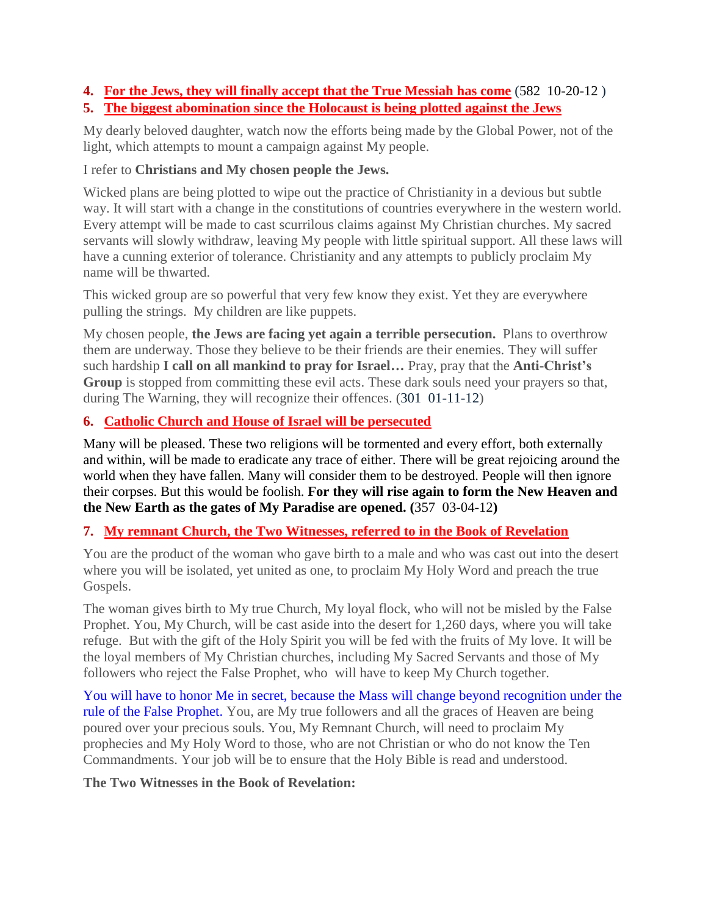#### **4. [For the Jews, they will finally accept that the True Messiah has come](http://www.thewarningsecondcoming.com/for-the-jews-they-will-finally-accept-that-the-true-messiah-has-come/)** (582 10-20-12 ) **5. [The biggest abomination since the Holocaust is being plotted against the Jews](http://www.thewarningsecondcoming.com/the-biggest-abomination-since-the-holocaust-is-being-plotted-against-the-jews/)**

My dearly beloved daughter, watch now the efforts being made by the Global Power, not of the light, which attempts to mount a campaign against My people.

## I refer to **Christians and My chosen people the Jews.**

Wicked plans are being plotted to wipe out the practice of Christianity in a devious but subtle way. It will start with a change in the constitutions of countries everywhere in the western world. Every attempt will be made to cast scurrilous claims against My Christian churches. My sacred servants will slowly withdraw, leaving My people with little spiritual support. All these laws will have a cunning exterior of tolerance. Christianity and any attempts to publicly proclaim My name will be thwarted.

This wicked group are so powerful that very few know they exist. Yet they are everywhere pulling the strings. My children are like puppets.

My chosen people, **the Jews are facing yet again a terrible persecution.** Plans to overthrow them are underway. Those they believe to be their friends are their enemies. They will suffer such hardship **I call on all mankind to pray for Israel…** Pray, pray that the **Anti-Christ's Group** is stopped from committing these evil acts. These dark souls need your prayers so that, during The Warning, they will recognize their offences. (301 01-11-12)

## **6. [Catholic Church and House of Israel will be persecuted](http://www.thewarningsecondcoming.com/catholic-church-and-house-of-israel-will-be-persecuted/)**

Many will be pleased. These two religions will be tormented and every effort, both externally and within, will be made to eradicate any trace of either. There will be great rejoicing around the world when they have fallen. Many will consider them to be destroyed. People will then ignore their corpses. But this would be foolish. **For they will rise again to form the New Heaven and the New Earth as the gates of My Paradise are opened. (**357 03-04-12**)**

## **7. [My remnant Church, the Two Witnesses, referred to in the Book of Revelation](http://www.thewarningsecondcoming.com/my-remnant-church-the-two-witnesses-referred-to-in-the-book-of-revelation/)**

You are the product of the woman who gave birth to a male and who was cast out into the desert where you will be isolated, yet united as one, to proclaim My Holy Word and preach the true Gospels.

The woman gives birth to My true Church, My loyal flock, who will not be misled by the False Prophet. You, My Church, will be cast aside into the desert for 1,260 days, where you will take refuge. But with the gift of the Holy Spirit you will be fed with the fruits of My love. It will be the loyal members of My Christian churches, including My Sacred Servants and those of My followers who reject the False Prophet, who will have to keep My Church together.

You will have to honor Me in secret, because the Mass will change beyond recognition under the rule of the False Prophet. You, are My true followers and all the graces of Heaven are being poured over your precious souls. You, My Remnant Church, will need to proclaim My prophecies and My Holy Word to those, who are not Christian or who do not know the Ten Commandments. Your job will be to ensure that the Holy Bible is read and understood.

**The Two Witnesses in the Book of Revelation:**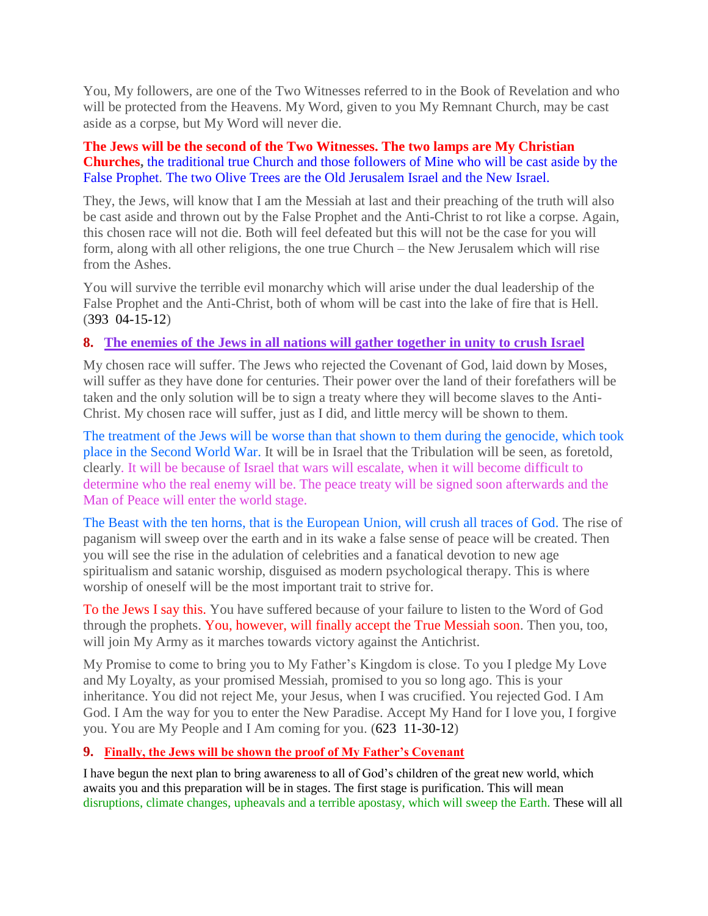You, My followers, are one of the Two Witnesses referred to in the Book of Revelation and who will be protected from the Heavens. My Word, given to you My Remnant Church, may be cast aside as a corpse, but My Word will never die.

### **The Jews will be the second of the Two Witnesses. The two lamps are My Christian Churches,** the traditional true Church and those followers of Mine who will be cast aside by the False Prophet. The two Olive Trees are the Old Jerusalem Israel and the New Israel.

They, the Jews, will know that I am the Messiah at last and their preaching of the truth will also be cast aside and thrown out by the False Prophet and the Anti-Christ to rot like a corpse. Again, this chosen race will not die. Both will feel defeated but this will not be the case for you will form, along with all other religions, the one true Church – the New Jerusalem which will rise from the Ashes.

You will survive the terrible evil monarchy which will arise under the dual leadership of the False Prophet and the Anti-Christ, both of whom will be cast into the lake of fire that is Hell. (393 04-15-12)

## **8. [The enemies of the Jews in all nations will gather together in unity to crush Israel](http://www.thewarningsecondcoming.com/the-enemies-of-the-jews-in-all-nations-will-gather-together-in-unity-to-crush-israel-2/)**

My chosen race will suffer. The Jews who rejected the Covenant of God, laid down by Moses, will suffer as they have done for centuries. Their power over the land of their forefathers will be taken and the only solution will be to sign a treaty where they will become slaves to the Anti-Christ. My chosen race will suffer, just as I did, and little mercy will be shown to them.

The treatment of the Jews will be worse than that shown to them during the genocide, which took place in the Second World War. It will be in Israel that the Tribulation will be seen, as foretold, clearly. It will be because of Israel that wars will escalate, when it will become difficult to determine who the real enemy will be. The peace treaty will be signed soon afterwards and the Man of Peace will enter the world stage.

The Beast with the ten horns, that is the European Union, will crush all traces of God. The rise of paganism will sweep over the earth and in its wake a false sense of peace will be created. Then you will see the rise in the adulation of celebrities and a fanatical devotion to new age spiritualism and satanic worship, disguised as modern psychological therapy. This is where worship of oneself will be the most important trait to strive for.

To the Jews I say this. You have suffered because of your failure to listen to the Word of God through the prophets. You, however, will finally accept the True Messiah soon. Then you, too, will join My Army as it marches towards victory against the Antichrist.

My Promise to come to bring you to My Father's Kingdom is close. To you I pledge My Love and My Loyalty, as your promised Messiah, promised to you so long ago. This is your inheritance. You did not reject Me, your Jesus, when I was crucified. You rejected God. I Am God. I Am the way for you to enter the New Paradise. Accept My Hand for I love you, I forgive you. You are My People and I Am coming for you. (623 11-30-12)

## **9. [Finally, the Jews will be shown the proof of My Father's Covenant](http://www.thewarningsecondcoming.com/finally-the-jews-will-be-shown-the-proof-of-my-fathers-covenant/)**

I have begun the next plan to bring awareness to all of God's children of the great new world, which awaits you and this preparation will be in stages. The first stage is purification. This will mean disruptions, climate changes, upheavals and a terrible apostasy, which will sweep the Earth. These will all